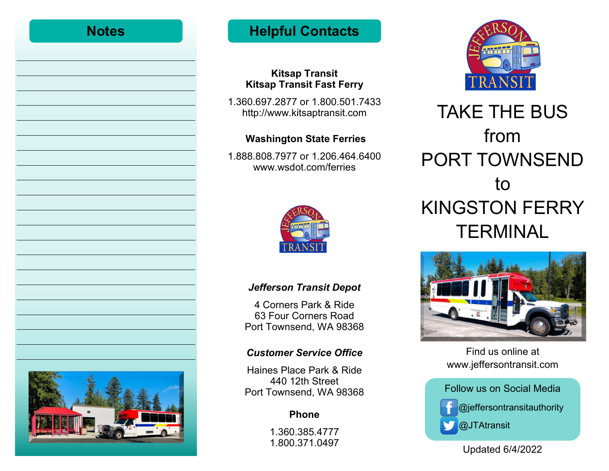| <b>Notes</b> |  |
|--------------|--|
|              |  |
|              |  |
|              |  |
|              |  |
|              |  |
|              |  |
|              |  |
|              |  |
|              |  |
|              |  |
|              |  |
|              |  |
|              |  |
|              |  |
|              |  |
|              |  |



# **Helpful Contacts**

### **Kitsap Transit Kitsap Transit Fast Ferry**

1.360.697.2877 or 1.800.501.7433 http://www.kitsaptransit.com

# **Washington State Ferries**

1.888.808.7977 or 1.206.464.6400 www.wsdot.com/ferries



## *Jefferson Transit Depot*

4 Corners Park & Ride 63 Four Corners Road Port Townsend, WA 98368

## *Customer Service Office*

Haines Place Park & Ride 440 12th Street Port Townsend, WA 98368

# **Phone**

1.360.385.4777 1.800.371.0497



# TAKE THE BUS from PORT TOWNSEND to KINGSTON FERRY **TERMINAL**



Find us online at www.jeffersontransit.com



Updated 6/4/2022